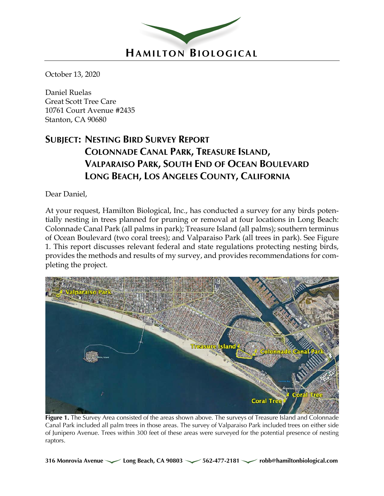

October 13, 2020

Daniel Ruelas Great Scott Tree Care 10761 Court Avenue #2435 Stanton, CA 90680

# **SUBJECT: NESTING BIRD SURVEY REPORT COLONNADE CANAL PARK, TREASURE ISLAND, VALPARAISO PARK, SOUTH END OF OCEAN BOULEVARD LONG BEACH, LOS ANGELES COUNTY, CALIFORNIA**

Dear Daniel,

At your request, Hamilton Biological, Inc., has conducted a survey for any birds potentially nesting in trees planned for pruning or removal at four locations in Long Beach: Colonnade Canal Park (all palms in park); Treasure Island (all palms); southern terminus of Ocean Boulevard (two coral trees); and Valparaiso Park (all trees in park). See Figure 1. This report discusses relevant federal and state regulations protecting nesting birds, provides the methods and results of my survey, and provides recommendations for completing the project.



Figure 1. The Survey Area consisted of the areas shown above. The surveys of Treasure Island and Colonnade Canal Park included all palm trees in those areas. The survey of Valparaiso Park included trees on either side of Junipero Avenue. Trees within 300 feet of these areas were surveyed for the potential presence of nesting raptors.

**316 Monrovia Avenue Long Beach, CA 90803 562-477-2181 robb@hamiltonbiological.com**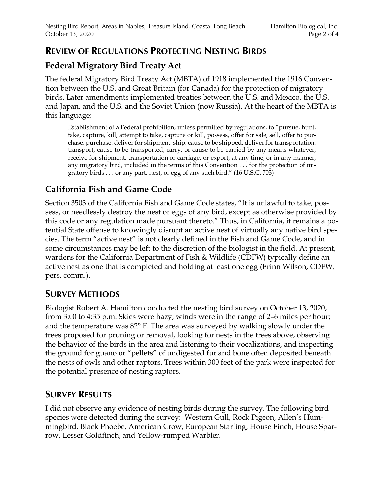### **REVIEW OF REGULATIONS PROTECTING NESTING BIRDS**

### **Federal Migratory Bird Treaty Act**

The federal Migratory Bird Treaty Act (MBTA) of 1918 implemented the 1916 Convention between the U.S. and Great Britain (for Canada) for the protection of migratory birds. Later amendments implemented treaties between the U.S. and Mexico, the U.S. and Japan, and the U.S. and the Soviet Union (now Russia). At the heart of the MBTA is this language:

Establishment of a Federal prohibition, unless permitted by regulations, to "pursue, hunt, take, capture, kill, attempt to take, capture or kill, possess, offer for sale, sell, offer to purchase, purchase, deliver for shipment, ship, cause to be shipped, deliver for transportation, transport, cause to be transported, carry, or cause to be carried by any means whatever, receive for shipment, transportation or carriage, or export, at any time, or in any manner, any migratory bird, included in the terms of this Convention . . . for the protection of migratory birds . . . or any part, nest, or egg of any such bird." (16 U.S.C. 703)

# **California Fish and Game Code**

Section 3503 of the California Fish and Game Code states, "It is unlawful to take, possess, or needlessly destroy the nest or eggs of any bird, except as otherwise provided by this code or any regulation made pursuant thereto." Thus, in California, it remains a potential State offense to knowingly disrupt an active nest of virtually any native bird species. The term "active nest" is not clearly defined in the Fish and Game Code, and in some circumstances may be left to the discretion of the biologist in the field. At present, wardens for the California Department of Fish & Wildlife (CDFW) typically define an active nest as one that is completed and holding at least one egg (Erinn Wilson, CDFW, pers. comm.).

# **SURVEY METHODS**

Biologist Robert A. Hamilton conducted the nesting bird survey on October 13, 2020, from 3:00 to 4:35 p.m. Skies were hazy; winds were in the range of 2–6 miles per hour; and the temperature was 82° F. The area was surveyed by walking slowly under the trees proposed for pruning or removal, looking for nests in the trees above, observing the behavior of the birds in the area and listening to their vocalizations, and inspecting the ground for guano or "pellets" of undigested fur and bone often deposited beneath the nests of owls and other raptors. Trees within 300 feet of the park were inspected for the potential presence of nesting raptors.

# **SURVEY RESULTS**

I did not observe any evidence of nesting birds during the survey. The following bird species were detected during the survey: Western Gull, Rock Pigeon, Allen's Hummingbird, Black Phoebe, American Crow, European Starling, House Finch, House Sparrow, Lesser Goldfinch, and Yellow-rumped Warbler.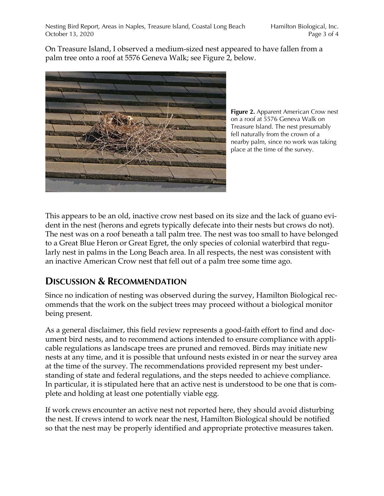On Treasure Island, I observed a medium-sized nest appeared to have fallen from a palm tree onto a roof at 5576 Geneva Walk; see Figure 2, below.



**Figure 2.** Apparent American Crow nest on a roof at 5576 Geneva Walk on Treasure Island. The nest presumably fell naturally from the crown of a nearby palm, since no work was taking place at the time of the survey.

This appears to be an old, inactive crow nest based on its size and the lack of guano evident in the nest (herons and egrets typically defecate into their nests but crows do not). The nest was on a roof beneath a tall palm tree. The nest was too small to have belonged to a Great Blue Heron or Great Egret, the only species of colonial waterbird that regularly nest in palms in the Long Beach area. In all respects, the nest was consistent with an inactive American Crow nest that fell out of a palm tree some time ago.

# **DISCUSSION & RECOMMENDATION**

Since no indication of nesting was observed during the survey, Hamilton Biological recommends that the work on the subject trees may proceed without a biological monitor being present.

As a general disclaimer, this field review represents a good-faith effort to find and document bird nests, and to recommend actions intended to ensure compliance with applicable regulations as landscape trees are pruned and removed. Birds may initiate new nests at any time, and it is possible that unfound nests existed in or near the survey area at the time of the survey. The recommendations provided represent my best understanding of state and federal regulations, and the steps needed to achieve compliance. In particular, it is stipulated here that an active nest is understood to be one that is complete and holding at least one potentially viable egg.

If work crews encounter an active nest not reported here, they should avoid disturbing the nest. If crews intend to work near the nest, Hamilton Biological should be notified so that the nest may be properly identified and appropriate protective measures taken.